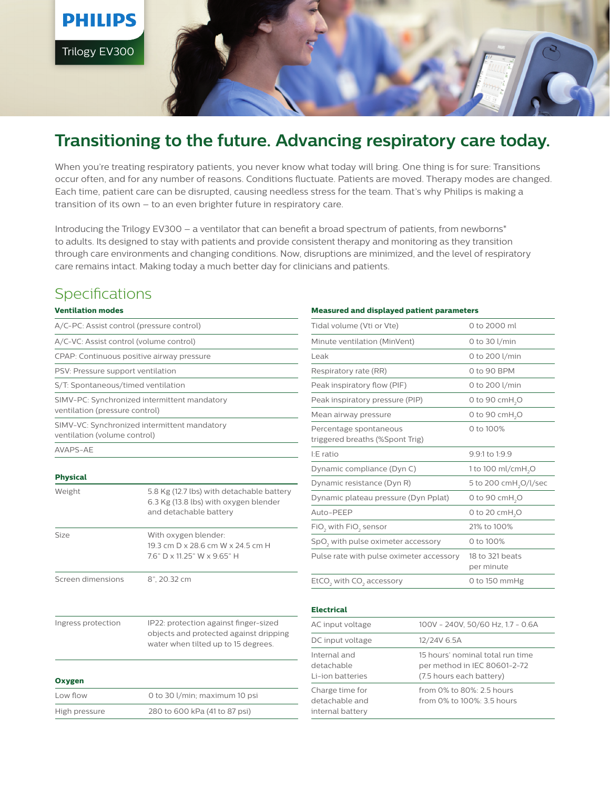

# **Transitioning to the future. Advancing respiratory care today.**

When you're treating respiratory patients, you never know what today will bring. One thing is for sure: Transitions occur often, and for any number of reasons. Conditions fluctuate. Patients are moved. Therapy modes are changed. Each time, patient care can be disrupted, causing needless stress for the team. That's why Philips is making a transition of its own – to an even brighter future in respiratory care.

Introducing the Trilogy EV300 – a ventilator that can benefit a broad spectrum of patients, from newborns\* to adults. Its designed to stay with patients and provide consistent therapy and monitoring as they transition through care environments and changing conditions. Now, disruptions are minimized, and the level of respiratory care remains intact. Making today a much better day for clinicians and patients.

### **Specifications**

#### **Ventilation modes**

| A/C-PC: Assist control (pressure control) |                                                                                                                        |  |
|-------------------------------------------|------------------------------------------------------------------------------------------------------------------------|--|
| A/C-VC: Assist control (volume control)   |                                                                                                                        |  |
| CPAP: Continuous positive airway pressure |                                                                                                                        |  |
| PSV: Pressure support ventilation         |                                                                                                                        |  |
| S/T: Spontaneous/timed ventilation        |                                                                                                                        |  |
| ventilation (pressure control)            | SIMV-PC: Synchronized intermittent mandatory                                                                           |  |
| ventilation (volume control)              | SIMV-VC: Synchronized intermittent mandatory                                                                           |  |
| AVAPS-AE                                  |                                                                                                                        |  |
| <b>Physical</b>                           |                                                                                                                        |  |
| Weight                                    | 5.8 Kg (12.7 lbs) with detachable battery<br>6.3 Kg (13.8 lbs) with oxygen blender<br>and detachable battery           |  |
| Size                                      | With oxygen blender:<br>19.3 cm D x 28.6 cm W x 24.5 cm H<br>7.6" D x 11.25" W x 9.65" H                               |  |
| Screen dimensions                         | 8", 20.32 cm                                                                                                           |  |
| Ingress protection                        | IP22: protection against finger-sized<br>objects and protected against dripping<br>water when tilted up to 15 degrees. |  |
| Oxygen                                    |                                                                                                                        |  |
| Low flow                                  | 0 to 30 l/min; maximum 10 psi                                                                                          |  |
| High pressure                             | 280 to 600 kPa (41 to 87 psi)                                                                                          |  |

#### **Measured and displayed patient parameters**

| Tidal volume (Vti or Vte)                                 | 0 to 2000 ml                      |  |
|-----------------------------------------------------------|-----------------------------------|--|
| Minute ventilation (MinVent)                              | 0 to 30 l/min                     |  |
| Leak                                                      | 0 to 200 l/min                    |  |
| Respiratory rate (RR)                                     | 0 to 90 BPM                       |  |
| Peak inspiratory flow (PIF)                               | 0 to 200 l/min                    |  |
| Peak inspiratory pressure (PIP)                           | 0 to 90 cm $H$ <sub>2</sub> O     |  |
| Mean airway pressure                                      | 0 to 90 cmH <sub>2</sub> O        |  |
| Percentage spontaneous<br>triggered breaths (%Spont Trig) | 0 to 100%                         |  |
| $E$ ratio                                                 | 9.9:1 to 1:9.9                    |  |
| Dynamic compliance (Dyn C)                                | 1 to 100 ml/cmH <sub>2</sub> O    |  |
| Dynamic resistance (Dyn R)                                | 5 to 200 cmH <sub>2</sub> O/l/sec |  |
| Dynamic plateau pressure (Dyn Pplat)                      | 0 to 90 cm $H$ <sub>2</sub> O     |  |
| Auto-PEEP                                                 | 0 to 20 $cmH2O$                   |  |
| FiO <sub>2</sub> with FiO <sub>2</sub> sensor             | 21% to 100%                       |  |
| SpO <sub>2</sub> with pulse oximeter accessory            | 0 to 100%                         |  |
| Pulse rate with pulse oximeter accessory                  | 18 to 321 beats<br>per minute     |  |
| EtCO <sub>2</sub> with CO <sub>2</sub> accessory          | 0 to 150 mmHg                     |  |

#### **Electrical**

| AC input voltage                                      | 100V - 240V, 50/60 Hz, 1.7 - 0.6A                                                            |
|-------------------------------------------------------|----------------------------------------------------------------------------------------------|
| DC input voltage                                      | 12/24V 6.5A                                                                                  |
| Internal and<br>detachable<br>Li-ion batteries        | 15 hours' nominal total run time<br>per method in IEC 80601-2-72<br>(7.5 hours each battery) |
| Charge time for<br>detachable and<br>internal battery | from 0% to 80%: 2.5 hours<br>from 0% to 100%: 3.5 hours                                      |